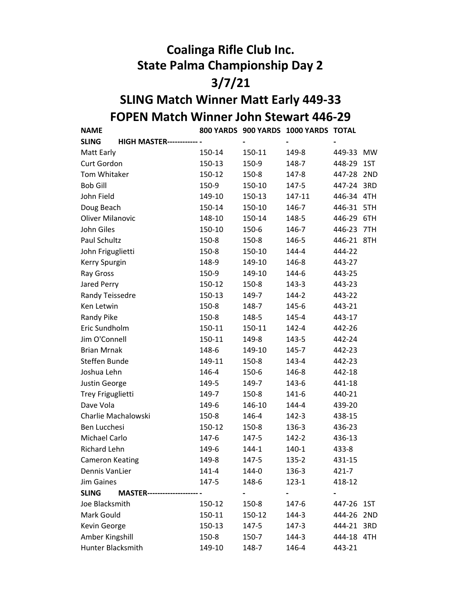## Coalinga Rifle Club Inc. State Palma Championship Day 2 3/7/21

## FOPEN Match Winner John Stewart 446-29 SLING Match Winner Matt Early 449-33

NAME 800 YARDS 900 YARDS 1000 YARDS TOTAL SLING HIGH MASTER--------------------------------------------------------- - - - - Matt Early 150-14 150-11 149-8 449-33 MW Curt Gordon 150-13 150-9 148-7 448-29 1ST Tom Whitaker 150-12 150-8 147-8 447-28 2ND Bob Gill 150-9 150-10 147-5 447-24 3RD John Field 149-10 150-13 147-11 446-34 4TH Doug Beach 150-14 150-10 146-7 446-31 5TH Oliver Milanovic 148-10 150-14 148-5 446-29 6TH John Giles 150-10 150-6 146-7 446-23 7TH Paul Schultz 150-8 150-8 146-5 446-21 8TH John Friguglietti 150-8 150-10 144-4 444-22 Kerry Spurgin 148-9 149-10 146-8 443-27 Ray Gross 150-9 149-10 144-6 443-25 Jared Perry 150-12 150-8 143-3 443-23 Randy Teissedre 150-13 149-7 144-2 443-22 Ken Letwin 150-8 148-7 145-6 443-21 Randy Pike 150-8 148-5 145-4 143-17 Eric Sundholm 150-11 150-11 142-4 442-26 Jim O'Connell 150-11 149-8 143-5 442-24 Brian Mrnak 148-6 149-10 145-7 442-23 Steffen Bunde 149-11 150-8 143-4 442-23 Joshua Lehn 146-4 150-6 146-8 442-18 Justin George 149-5 149-7 143-6 441-18 Trey Friguglietti 149-7 150-8 141-6 440-21 Dave Vola **149-6** 146-10 144-4 439-20 Charlie Machalowski 150-8 146-4 142-3 438-15 Ben Lucchesi 150-12 150-8 136-3 436-23 Michael Carlo 147-6 147-5 142-2 436-13 Richard Lehn 149-6 144-1 140-1 433-8 Cameron Keating 149-8 147-5 135-2 431-15 Dennis VanLier 141-4 144-0 136-3 421-7 Jim Gaines 147-5 148-6 123-1 418-12 SLING MASTER--------------------------------------------------------- - - - - Joe Blacksmith 150-12 150-8 147-6 447-26 1ST Mark Gould 150-11 150-12 144-3 444-26 2ND Kevin George **150-13** 147-5 147-3 444-21 3RD Amber Kingshill 150-8 150-7 144-3 444-18 4TH Hunter Blacksmith 149-10 148-7 146-4 443-21